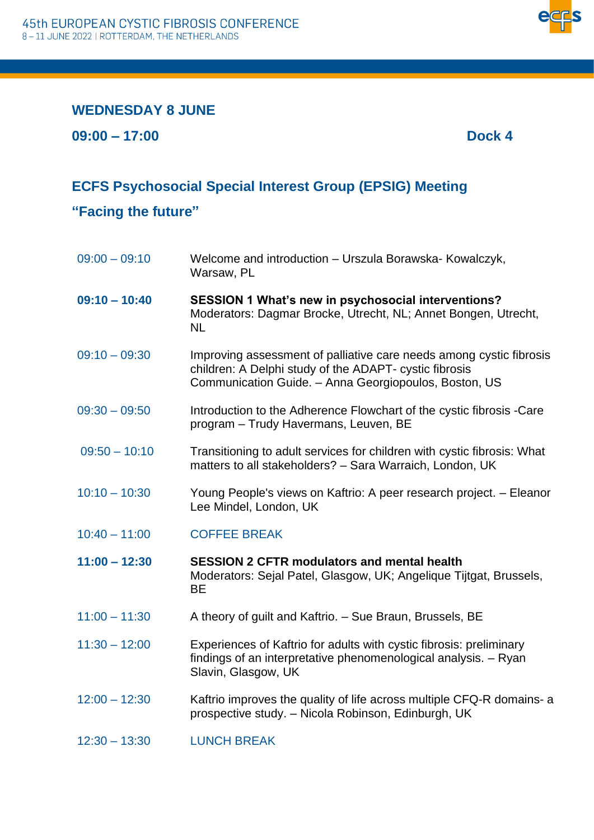

## **WEDNESDAY 8 JUNE**

**09:00 – 17:00 Dock 4**

## **ECFS Psychosocial Special Interest Group (EPSIG) Meeting**

**"Facing the future"**

| $09:00 - 09:10$ | Welcome and introduction - Urszula Borawska- Kowalczyk,<br>Warsaw, PL                                                                                                                  |
|-----------------|----------------------------------------------------------------------------------------------------------------------------------------------------------------------------------------|
| $09:10 - 10:40$ | SESSION 1 What's new in psychosocial interventions?<br>Moderators: Dagmar Brocke, Utrecht, NL; Annet Bongen, Utrecht,<br><b>NL</b>                                                     |
| $09:10 - 09:30$ | Improving assessment of palliative care needs among cystic fibrosis<br>children: A Delphi study of the ADAPT- cystic fibrosis<br>Communication Guide. - Anna Georgiopoulos, Boston, US |
| $09:30 - 09:50$ | Introduction to the Adherence Flowchart of the cystic fibrosis -Care<br>program - Trudy Havermans, Leuven, BE                                                                          |
| $09:50 - 10:10$ | Transitioning to adult services for children with cystic fibrosis: What<br>matters to all stakeholders? - Sara Warraich, London, UK                                                    |
| $10:10 - 10:30$ | Young People's views on Kaftrio: A peer research project. - Eleanor<br>Lee Mindel, London, UK                                                                                          |
| $10:40 - 11:00$ | <b>COFFEE BREAK</b>                                                                                                                                                                    |
| $11:00 - 12:30$ | <b>SESSION 2 CFTR modulators and mental health</b><br>Moderators: Sejal Patel, Glasgow, UK; Angelique Tijtgat, Brussels,<br><b>BE</b>                                                  |
| $11:00 - 11:30$ | A theory of guilt and Kaftrio. - Sue Braun, Brussels, BE                                                                                                                               |
| $11:30 - 12:00$ | Experiences of Kaftrio for adults with cystic fibrosis: preliminary<br>findings of an interpretative phenomenological analysis. - Ryan<br>Slavin, Glasgow, UK                          |
| $12:00 - 12:30$ | Kaftrio improves the quality of life across multiple CFQ-R domains- a<br>prospective study. - Nicola Robinson, Edinburgh, UK                                                           |
| $12:30 - 13:30$ | <b>LUNCH BREAK</b>                                                                                                                                                                     |